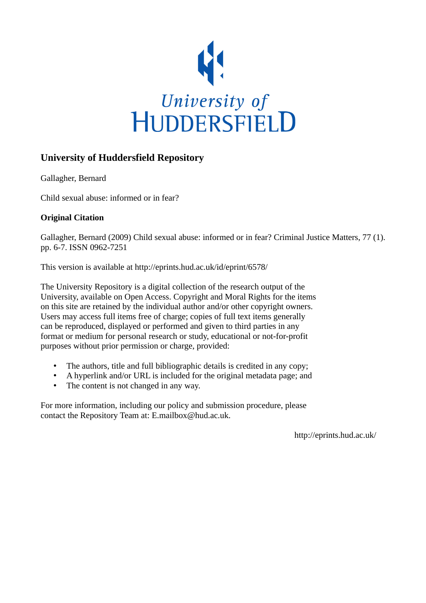

## **University of Huddersfield Repository**

Gallagher, Bernard

Child sexual abuse: informed or in fear?

### **Original Citation**

Gallagher, Bernard (2009) Child sexual abuse: informed or in fear? Criminal Justice Matters, 77 (1). pp. 6-7. ISSN 0962-7251

This version is available at http://eprints.hud.ac.uk/id/eprint/6578/

The University Repository is a digital collection of the research output of the University, available on Open Access. Copyright and Moral Rights for the items on this site are retained by the individual author and/or other copyright owners. Users may access full items free of charge; copies of full text items generally can be reproduced, displayed or performed and given to third parties in any format or medium for personal research or study, educational or not-for-profit purposes without prior permission or charge, provided:

- The authors, title and full bibliographic details is credited in any copy;
- A hyperlink and/or URL is included for the original metadata page; and
- The content is not changed in any way.

For more information, including our policy and submission procedure, please contact the Repository Team at: E.mailbox@hud.ac.uk.

http://eprints.hud.ac.uk/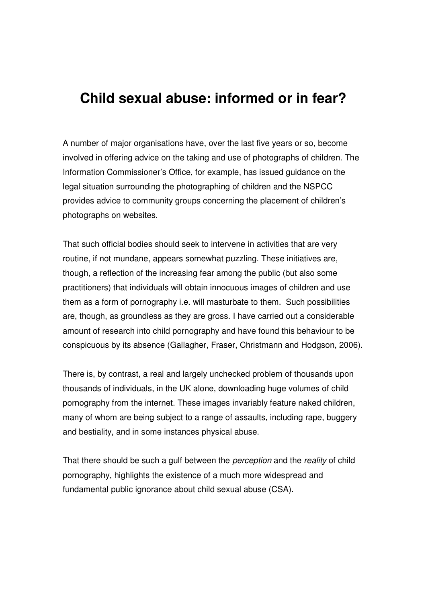# **Child sexual abuse: informed or in fear?**

A number of major organisations have, over the last five years or so, become involved in offering advice on the taking and use of photographs of children. The Information Commissioner's Office, for example, has issued guidance on the legal situation surrounding the photographing of children and the NSPCC provides advice to community groups concerning the placement of children's photographs on websites.

That such official bodies should seek to intervene in activities that are very routine, if not mundane, appears somewhat puzzling. These initiatives are, though, a reflection of the increasing fear among the public (but also some practitioners) that individuals will obtain innocuous images of children and use them as a form of pornography i.e. will masturbate to them. Such possibilities are, though, as groundless as they are gross. I have carried out a considerable amount of research into child pornography and have found this behaviour to be conspicuous by its absence (Gallagher, Fraser, Christmann and Hodgson, 2006).

There is, by contrast, a real and largely unchecked problem of thousands upon thousands of individuals, in the UK alone, downloading huge volumes of child pornography from the internet. These images invariably feature naked children, many of whom are being subject to a range of assaults, including rape, buggery and bestiality, and in some instances physical abuse.

That there should be such a gulf between the *perception* and the *reality* of child pornography, highlights the existence of a much more widespread and fundamental public ignorance about child sexual abuse (CSA).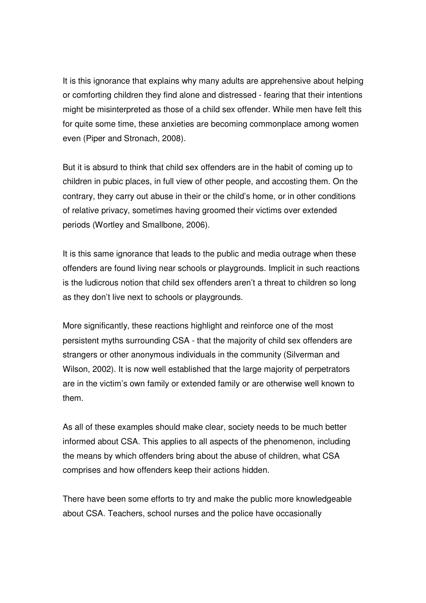It is this ignorance that explains why many adults are apprehensive about helping or comforting children they find alone and distressed - fearing that their intentions might be misinterpreted as those of a child sex offender. While men have felt this for quite some time, these anxieties are becoming commonplace among women even (Piper and Stronach, 2008).

But it is absurd to think that child sex offenders are in the habit of coming up to children in pubic places, in full view of other people, and accosting them. On the contrary, they carry out abuse in their or the child's home, or in other conditions of relative privacy, sometimes having groomed their victims over extended periods (Wortley and Smallbone, 2006).

It is this same ignorance that leads to the public and media outrage when these offenders are found living near schools or playgrounds. Implicit in such reactions is the ludicrous notion that child sex offenders aren't a threat to children so long as they don't live next to schools or playgrounds.

More significantly, these reactions highlight and reinforce one of the most persistent myths surrounding CSA - that the majority of child sex offenders are strangers or other anonymous individuals in the community (Silverman and Wilson, 2002). It is now well established that the large majority of perpetrators are in the victim's own family or extended family or are otherwise well known to them.

As all of these examples should make clear, society needs to be much better informed about CSA. This applies to all aspects of the phenomenon, including the means by which offenders bring about the abuse of children, what CSA comprises and how offenders keep their actions hidden.

There have been some efforts to try and make the public more knowledgeable about CSA. Teachers, school nurses and the police have occasionally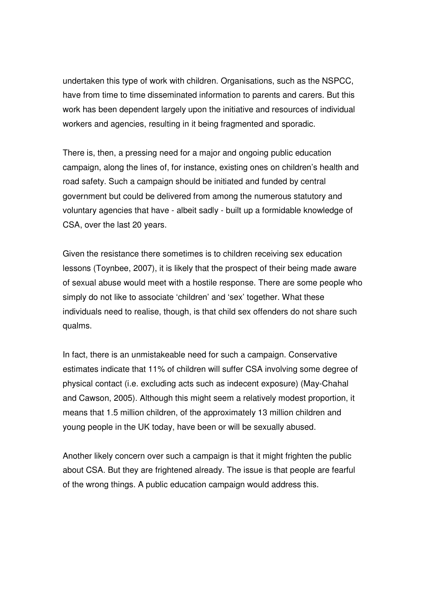undertaken this type of work with children. Organisations, such as the NSPCC, have from time to time disseminated information to parents and carers. But this work has been dependent largely upon the initiative and resources of individual workers and agencies, resulting in it being fragmented and sporadic.

There is, then, a pressing need for a major and ongoing public education campaign, along the lines of, for instance, existing ones on children's health and road safety. Such a campaign should be initiated and funded by central government but could be delivered from among the numerous statutory and voluntary agencies that have - albeit sadly - built up a formidable knowledge of CSA, over the last 20 years.

Given the resistance there sometimes is to children receiving sex education lessons (Toynbee, 2007), it is likely that the prospect of their being made aware of sexual abuse would meet with a hostile response. There are some people who simply do not like to associate 'children' and 'sex' together. What these individuals need to realise, though, is that child sex offenders do not share such qualms.

In fact, there is an unmistakeable need for such a campaign. Conservative estimates indicate that 11% of children will suffer CSA involving some degree of physical contact (i.e. excluding acts such as indecent exposure) (May-Chahal and Cawson, 2005). Although this might seem a relatively modest proportion, it means that 1.5 million children, of the approximately 13 million children and young people in the UK today, have been or will be sexually abused.

Another likely concern over such a campaign is that it might frighten the public about CSA. But they are frightened already. The issue is that people are fearful of the wrong things. A public education campaign would address this.